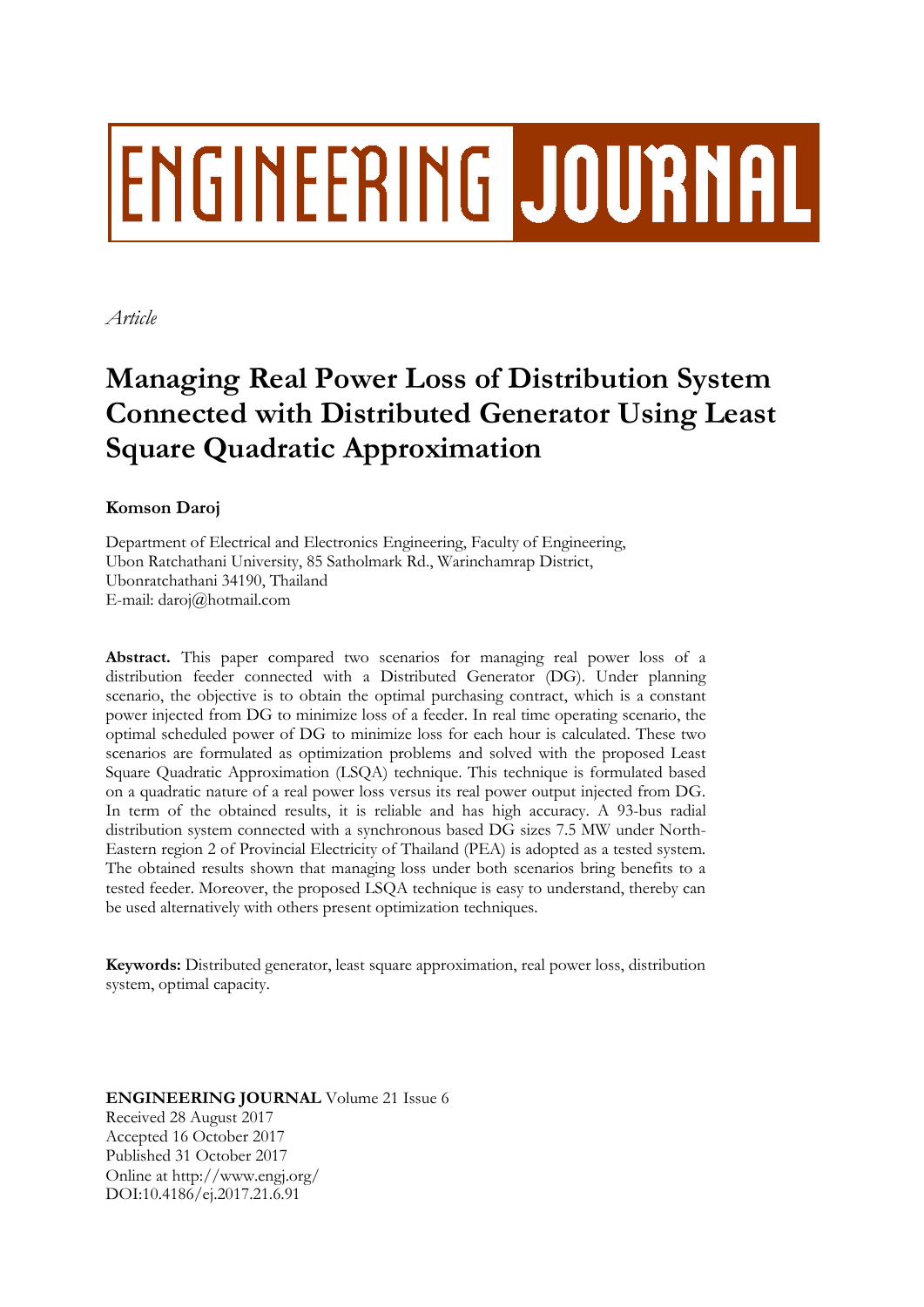# **ENGINEERING JOURNAL**

*Article*

# **Managing Real Power Loss of Distribution System Connected with Distributed Generator Using Least Square Quadratic Approximation**

# **Komson Daroj**

Department of Electrical and Electronics Engineering, Faculty of Engineering, Ubon Ratchathani University, 85 Satholmark Rd., Warinchamrap District, Ubonratchathani 34190, Thailand E-mail: daroj@hotmail.com

**Abstract.** This paper compared two scenarios for managing real power loss of a distribution feeder connected with a Distributed Generator (DG). Under planning scenario, the objective is to obtain the optimal purchasing contract, which is a constant power injected from DG to minimize loss of a feeder. In real time operating scenario, the optimal scheduled power of DG to minimize loss for each hour is calculated. These two scenarios are formulated as optimization problems and solved with the proposed Least Square Quadratic Approximation (LSQA) technique. This technique is formulated based on a quadratic nature of a real power loss versus its real power output injected from DG. In term of the obtained results, it is reliable and has high accuracy. A 93-bus radial distribution system connected with a synchronous based DG sizes 7.5 MW under North-Eastern region 2 of Provincial Electricity of Thailand (PEA) is adopted as a tested system. The obtained results shown that managing loss under both scenarios bring benefits to a tested feeder. Moreover, the proposed LSQA technique is easy to understand, thereby can be used alternatively with others present optimization techniques.

**Keywords:** Distributed generator, least square approximation, real power loss, distribution system, optimal capacity.

### **ENGINEERING JOURNAL** Volume 21 Issue 6 Received 28 August 2017 Accepted 16 October 2017 Published 31 October 2017 Online at http://www.engj.org/ DOI:10.4186/ej.2017.21.6.91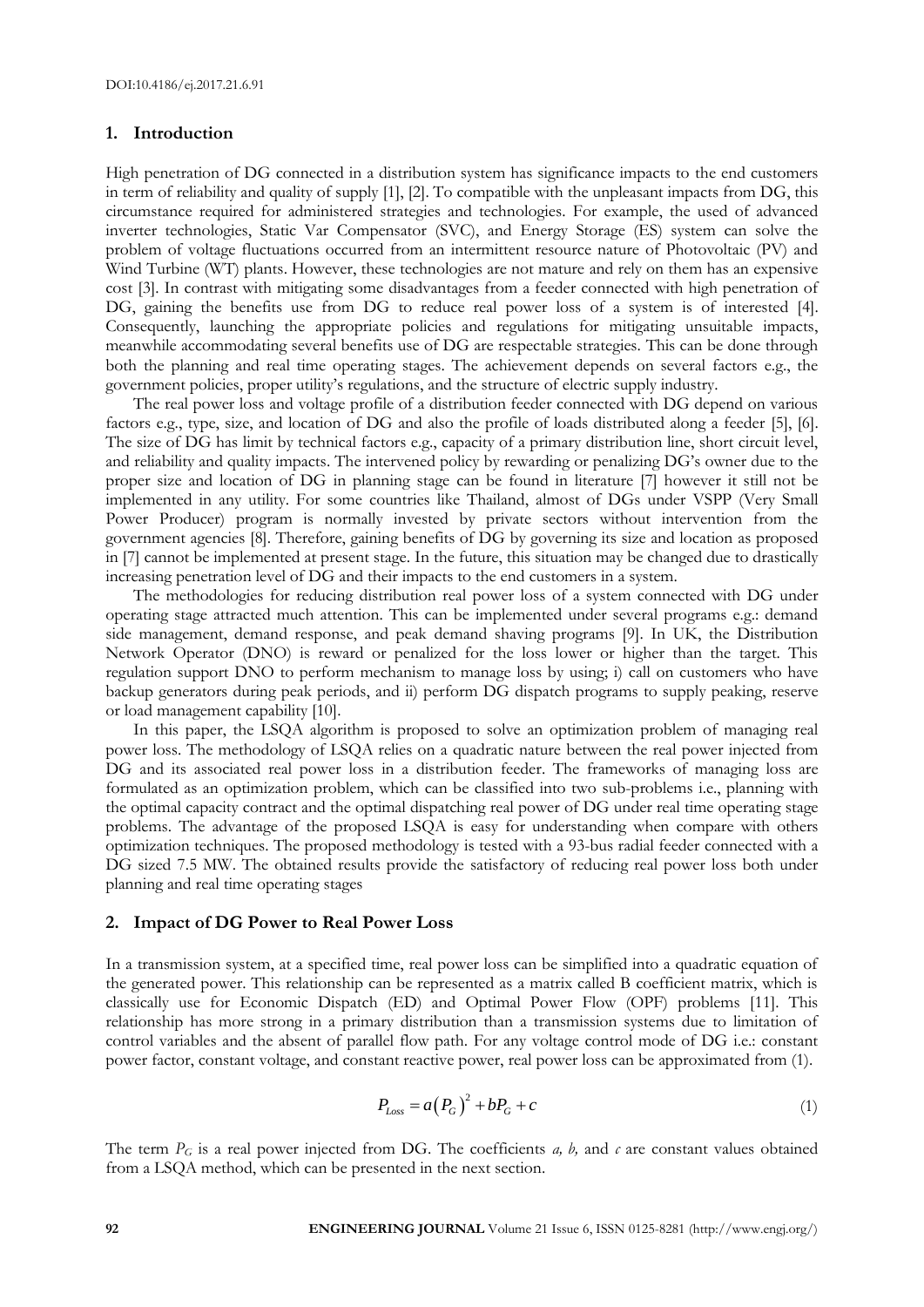#### **1. Introduction**

High penetration of DG connected in a distribution system has significance impacts to the end customers in term of reliability and quality of supply [1], [2]. To compatible with the unpleasant impacts from DG, this circumstance required for administered strategies and technologies. For example, the used of advanced inverter technologies, Static Var Compensator (SVC), and Energy Storage (ES) system can solve the problem of voltage fluctuations occurred from an intermittent resource nature of Photovoltaic (PV) and Wind Turbine (WT) plants. However, these technologies are not mature and rely on them has an expensive cost [3]. In contrast with mitigating some disadvantages from a feeder connected with high penetration of DG, gaining the benefits use from DG to reduce real power loss of a system is of interested [4]. Consequently, launching the appropriate policies and regulations for mitigating unsuitable impacts, meanwhile accommodating several benefits use of DG are respectable strategies. This can be done through both the planning and real time operating stages. The achievement depends on several factors e.g., the government policies, proper utility's regulations, and the structure of electric supply industry.

The real power loss and voltage profile of a distribution feeder connected with DG depend on various factors e.g., type, size, and location of DG and also the profile of loads distributed along a feeder [5], [6]. The size of DG has limit by technical factors e.g., capacity of a primary distribution line, short circuit level, and reliability and quality impacts. The intervened policy by rewarding or penalizing DG's owner due to the proper size and location of DG in planning stage can be found in literature [7] however it still not be implemented in any utility. For some countries like Thailand, almost of DGs under VSPP (Very Small Power Producer) program is normally invested by private sectors without intervention from the government agencies [8]. Therefore, gaining benefits of DG by governing its size and location as proposed in [7] cannot be implemented at present stage. In the future, this situation may be changed due to drastically increasing penetration level of DG and their impacts to the end customers in a system.

The methodologies for reducing distribution real power loss of a system connected with DG under operating stage attracted much attention. This can be implemented under several programs e.g.: demand side management, demand response, and peak demand shaving programs [9]. In UK, the Distribution Network Operator (DNO) is reward or penalized for the loss lower or higher than the target. This regulation support DNO to perform mechanism to manage loss by using; i) call on customers who have backup generators during peak periods, and ii) perform DG dispatch programs to supply peaking, reserve or load management capability [10].

In this paper, the LSQA algorithm is proposed to solve an optimization problem of managing real power loss. The methodology of LSQA relies on a quadratic nature between the real power injected from DG and its associated real power loss in a distribution feeder. The frameworks of managing loss are formulated as an optimization problem, which can be classified into two sub-problems i.e., planning with the optimal capacity contract and the optimal dispatching real power of DG under real time operating stage problems. The advantage of the proposed LSQA is easy for understanding when compare with others optimization techniques. The proposed methodology is tested with a 93-bus radial feeder connected with a DG sized 7.5 MW. The obtained results provide the satisfactory of reducing real power loss both under planning and real time operating stages

#### **2. Impact of DG Power to Real Power Loss**

In a transmission system, at a specified time, real power loss can be simplified into a quadratic equation of the generated power. This relationship can be represented as a matrix called B coefficient matrix, which is classically use for Economic Dispatch (ED) and Optimal Power Flow (OPF) problems [11]. This relationship has more strong in a primary distribution than a transmission systems due to limitation of control variables and the absent of parallel flow path. For any voltage control mode of DG i.e.: constant power factor, constant voltage, and constant reactive power, real power loss can be approximated from (1).

$$
P_{Loss} = a(P_G)^2 + bP_G + c \tag{1}
$$

The term  $P_G$  is a real power injected from DG. The coefficients *a, b,* and *c* are constant values obtained from a LSQA method, which can be presented in the next section.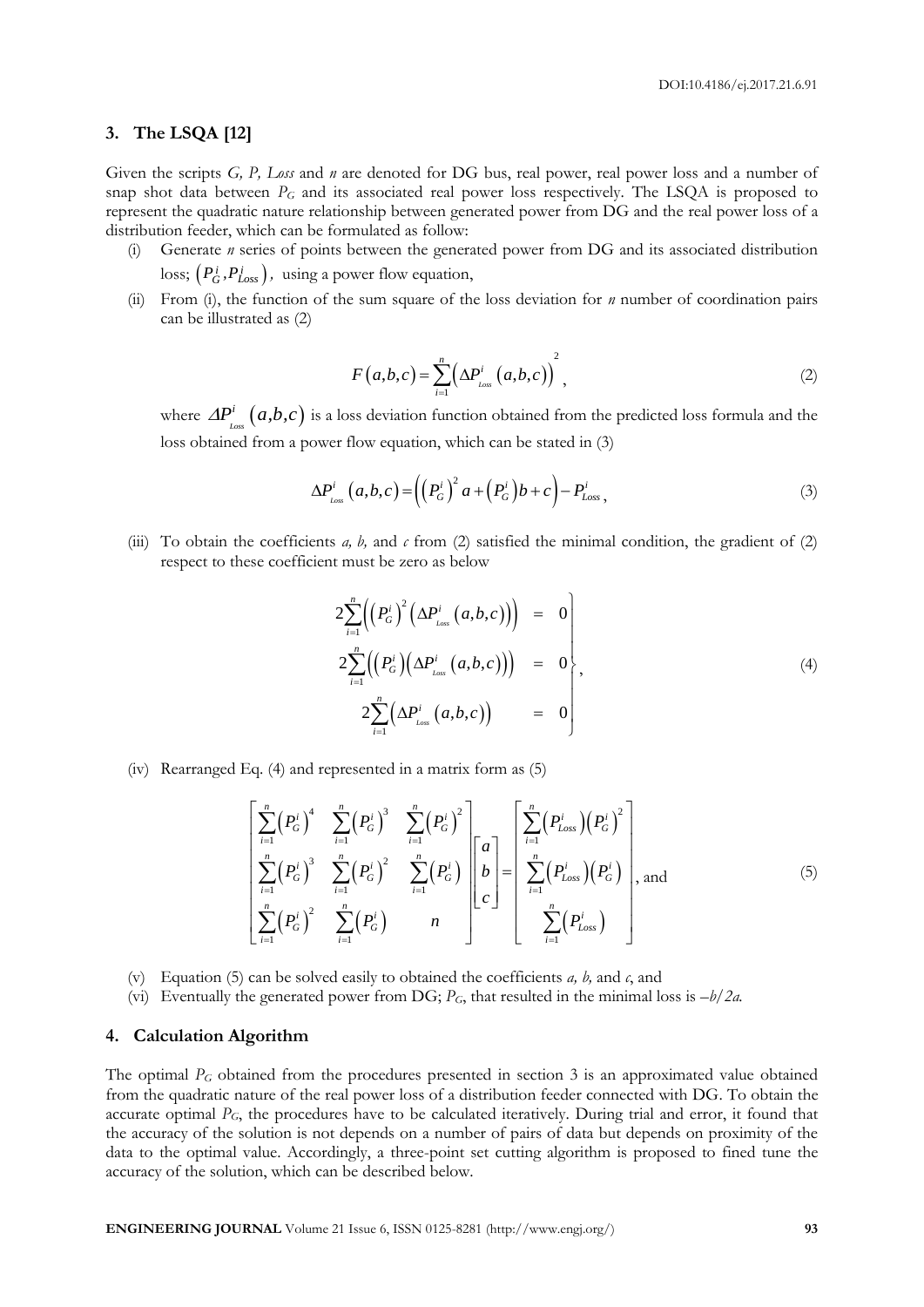#### **3. The LSQA [12]**

Given the scripts *G, P, Loss* and *n* are denoted for DG bus, real power, real power loss and a number of snap shot data between *P<sup>G</sup>* and its associated real power loss respectively. The LSQA is proposed to represent the quadratic nature relationship between generated power from DG and the real power loss of a distribution feeder, which can be formulated as follow:

- (i) Generate *n* series of points between the generated power from DG and its associated distribution  $\text{loss; } \left(P_G^i, P_{Loss}^i\right)$ , using a power flow equation,
- (ii) From (i), the function of the sum square of the loss deviation for *n* number of coordination pairs can be illustrated as (2)

$$
F(a,b,c) = \sum_{i=1}^{n} \left(\Delta P_{\text{Loss}}^{i}\left(a,b,c\right)\right)^{2},\tag{2}
$$

where  $\Delta P_{\text{\tiny{Loss}}}^{i} (a,b,c)$  is a loss deviation function obtained from the predicted loss formula and the loss obtained from a power flow equation, which can be stated in (3)

$$
\Delta P_{\text{Loss}}^{i} (a, b, c) = \left( \left( P_{G}^{i} \right)^{2} a + \left( P_{G}^{i} \right) b + c \right) - P_{\text{Loss}}^{i}, \tag{3}
$$

(iii) To obtain the coefficients *a, b,* and *c* from (2) satisfied the minimal condition, the gradient of (2) respect to these coefficient must be zero as below

$$
2\sum_{i=1}^{n} \Biggl(\Bigl(P_G^{i}\Bigr)^2 \Bigl(\Delta P_{\text{Loss}}^{i} (a,b,c)\Bigr)\Bigr) = 0
$$
  

$$
2\sum_{i=1}^{n} \Biggl(\Bigl(P_G^{i}\Bigr) \Bigl(\Delta P_{\text{Loss}}^{i} (a,b,c)\Bigr)\Bigr) = 0
$$
  

$$
2\sum_{i=1}^{n} \Bigl(\Delta P_{\text{Loss}}^{i} (a,b,c)\Bigr) = 0
$$
 (4)

(iv) Rearranged Eq. (4) and represented in a matrix form as (5)  
\n
$$
\left[\sum_{i=1}^{n} (P_G^i)^4 \sum_{i=1}^{n} (P_G^i)^3 \sum_{i=1}^{n} (P_G^i)^2\right]_{i=1}^{n} = \left[\sum_{i=1}^{n} (P_{Loss}^i) (P_G^i)^2\right]_{i=1}^{n}
$$
\n
$$
\left[\sum_{i=1}^{n} (P_G^i)^3 \sum_{i=1}^{n} (P_G^i)^2 \sum_{i=1}^{n} (P_G^i) \right]_{i=1}^{n} = \left[\sum_{i=1}^{n} (P_{Loss}^i) (P_G^i)\right],
$$
\nand\n(5)  
\n
$$
\sum_{i=1}^{n} (P_G^i)^2 \sum_{i=1}^{n} (P_G^i) \left[n \sum_{i=1}^{n} (P_{Loss}^i)\right]
$$

- (v) Equation (5) can be solved easily to obtained the coefficients *a, b,* and *c*, and
- (vi) Eventually the generated power from DG;  $P_G$ , that resulted in the minimal loss is  $-b/2a$ .

#### **4. Calculation Algorithm**

The optimal *P<sup>G</sup>* obtained from the procedures presented in section 3 is an approximated value obtained from the quadratic nature of the real power loss of a distribution feeder connected with DG. To obtain the accurate optimal *PG*, the procedures have to be calculated iteratively. During trial and error, it found that the accuracy of the solution is not depends on a number of pairs of data but depends on proximity of the data to the optimal value. Accordingly, a three-point set cutting algorithm is proposed to fined tune the accuracy of the solution, which can be described below.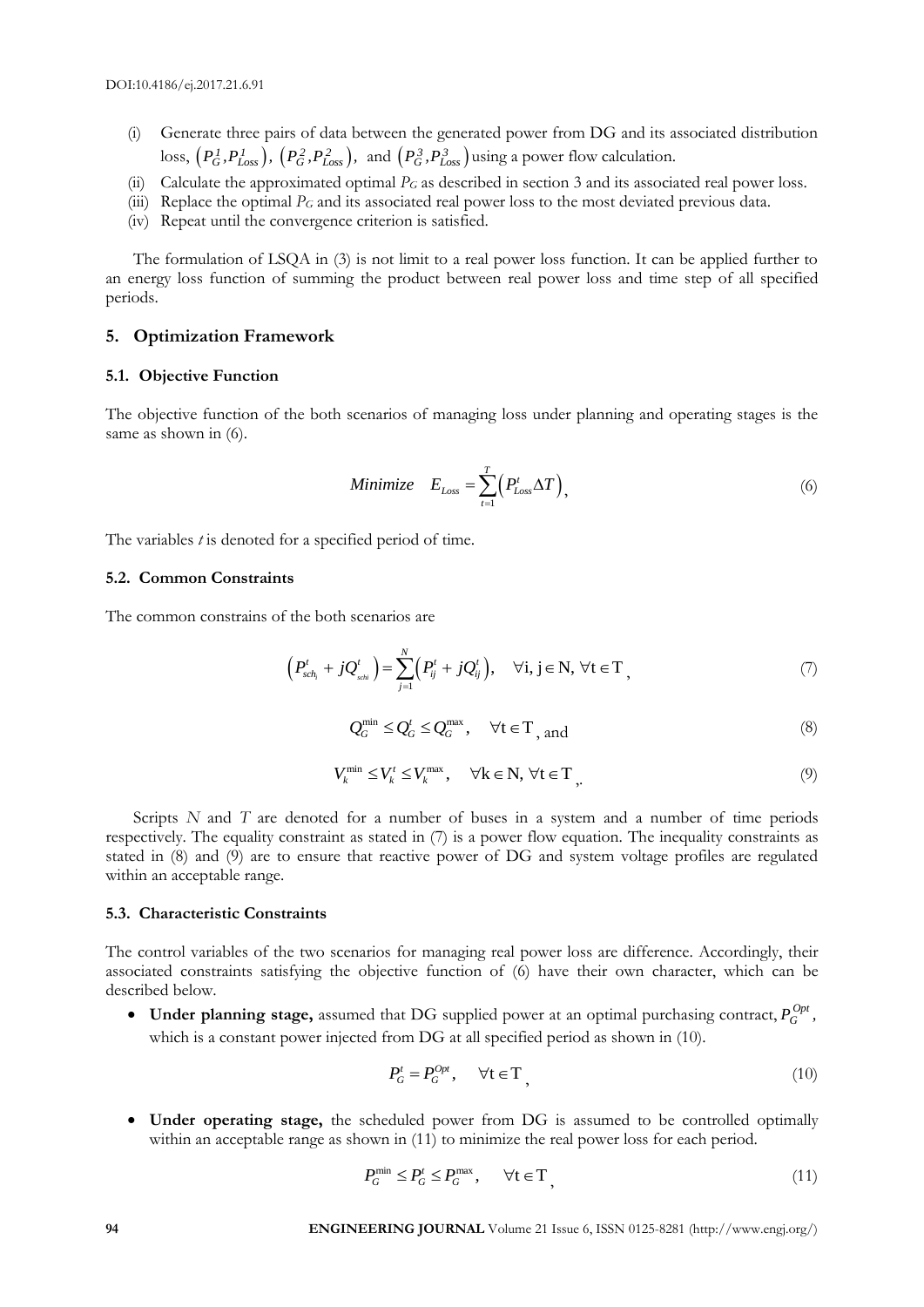- (i) Generate three pairs of data between the generated power from DG and its associated distribution loss,  $(P_G^1, P_{Loss}^1)$ ,  $(P_G^2, P_{Loss}^2)$ , and  $(P_G^3, P_{Loss}^3)$  using a power flow calculation.
- (ii) Calculate the approximated optimal *P<sup>G</sup>* as described in section 3 and its associated real power loss.
- (iii) Replace the optimal *P<sup>G</sup>* and its associated real power loss to the most deviated previous data.
- (iv) Repeat until the convergence criterion is satisfied.

The formulation of LSQA in (3) is not limit to a real power loss function. It can be applied further to an energy loss function of summing the product between real power loss and time step of all specified periods.

#### **5. Optimization Framework**

#### **5.1. Objective Function**

The objective function of the both scenarios of managing loss under planning and operating stages is the same as shown in (6).

Minimize 
$$
E_{Loss} = \sum_{t=1}^{T} (P_{Loss}^t \Delta T)
$$
, (6)

The variables *t* is denoted for a specified period of time.

#### **5.2. Common Constraints**

The common constrains of the both scenarios are

$$
\left(P_{sch_i}^t + jQ_{sch_i}^t\right) = \sum_{j=1}^N \left(P_{ij}^t + jQ_{ij}^t\right), \quad \forall i, j \in \mathbb{N}, \ \forall t \in \mathbb{T}, \tag{7}
$$

$$
Q_G^{\min} \le Q_G^t \le Q_G^{\max}, \quad \forall t \in T_{\text{, and}}
$$
 (8)

$$
V_k^{\min} \le V_k^t \le V_k^{\max}, \quad \forall k \in \mathbb{N}, \forall t \in \mathbb{T}, \tag{9}
$$

Scripts *N* and *T* are denoted for a number of buses in a system and a number of time periods respectively. The equality constraint as stated in (7) is a power flow equation. The inequality constraints as stated in (8) and (9) are to ensure that reactive power of DG and system voltage profiles are regulated within an acceptable range.

#### **5.3. Characteristic Constraints**

The control variables of the two scenarios for managing real power loss are difference. Accordingly, their associated constraints satisfying the objective function of (6) have their own character, which can be described below.

 $\bullet$  Under planning stage, assumed that DG supplied power at an optimal purchasing contract,  $P_G^{Opt}$ , which is a constant power injected from DG at all specified period as shown in (10).

$$
P_G^t = P_G^{Opt}, \qquad \forall t \in T \tag{10}
$$

 **Under operating stage,** the scheduled power from DG is assumed to be controlled optimally within an acceptable range as shown in (11) to minimize the real power loss for each period.

$$
P_G^{\min} \le P_G^t \le P_G^{\max}, \qquad \forall t \in T \tag{11}
$$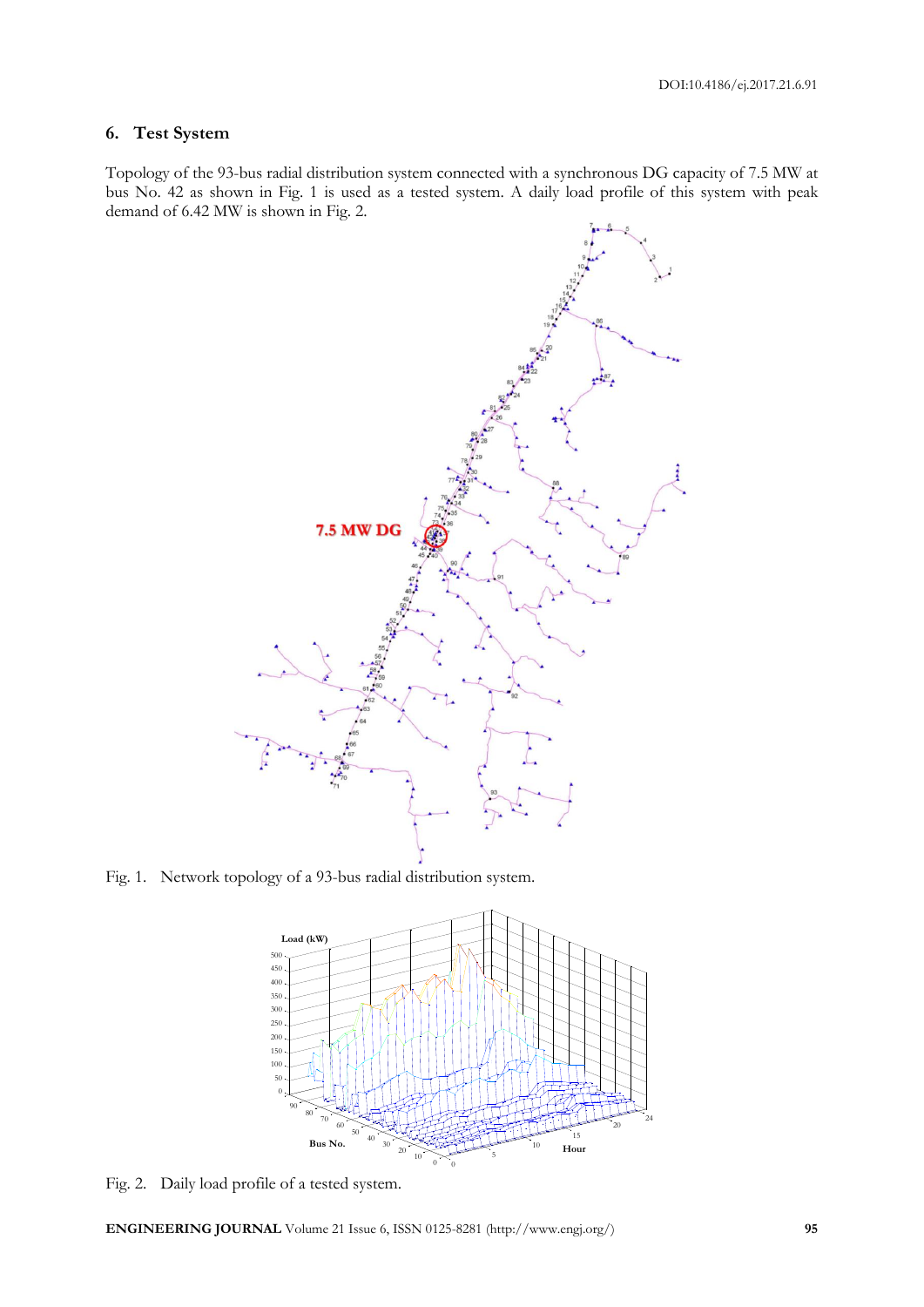# **6. Test System**

Topology of the 93-bus radial distribution system connected with a synchronous DG capacity of 7.5 MW at bus No. 42 as shown in Fig. 1 is used as a tested system. A daily load profile of this system with peak demand of 6.42 MW is shown in Fig. 2.



Fig. 1. Network topology of a 93-bus radial distribution system.



Fig. 2. Daily load profile of a tested system.

**ENGINEERING JOURNAL** Volume 21 Issue 6, ISSN 0125-8281 (http://www.engj.org/) **95**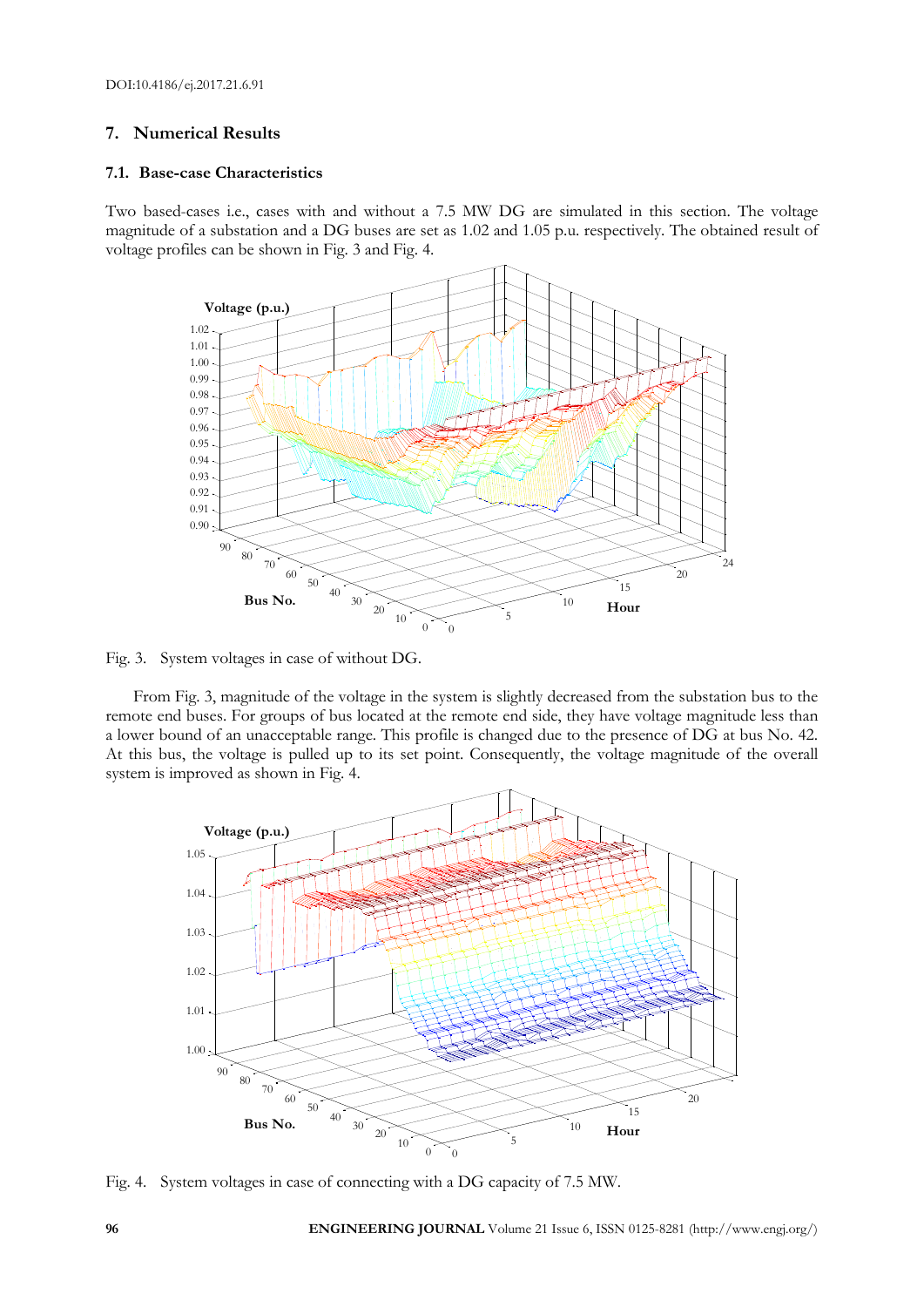## **7. Numerical Results**

#### **7.1. Base-case Characteristics**

Two based-cases i.e., cases with and without a 7.5 MW DG are simulated in this section. The voltage magnitude of a substation and a DG buses are set as 1.02 and 1.05 p.u. respectively. The obtained result of voltage profiles can be shown in Fig. 3 and Fig. 4.



Fig. 3. System voltages in case of without DG.

From Fig. 3, magnitude of the voltage in the system is slightly decreased from the substation bus to the remote end buses. For groups of bus located at the remote end side, they have voltage magnitude less than a lower bound of an unacceptable range. This profile is changed due to the presence of DG at bus No. 42. At this bus, the voltage is pulled up to its set point. Consequently, the voltage magnitude of the overall system is improved as shown in Fig. 4.



Fig. 4. System voltages in case of connecting with a DG capacity of 7.5 MW.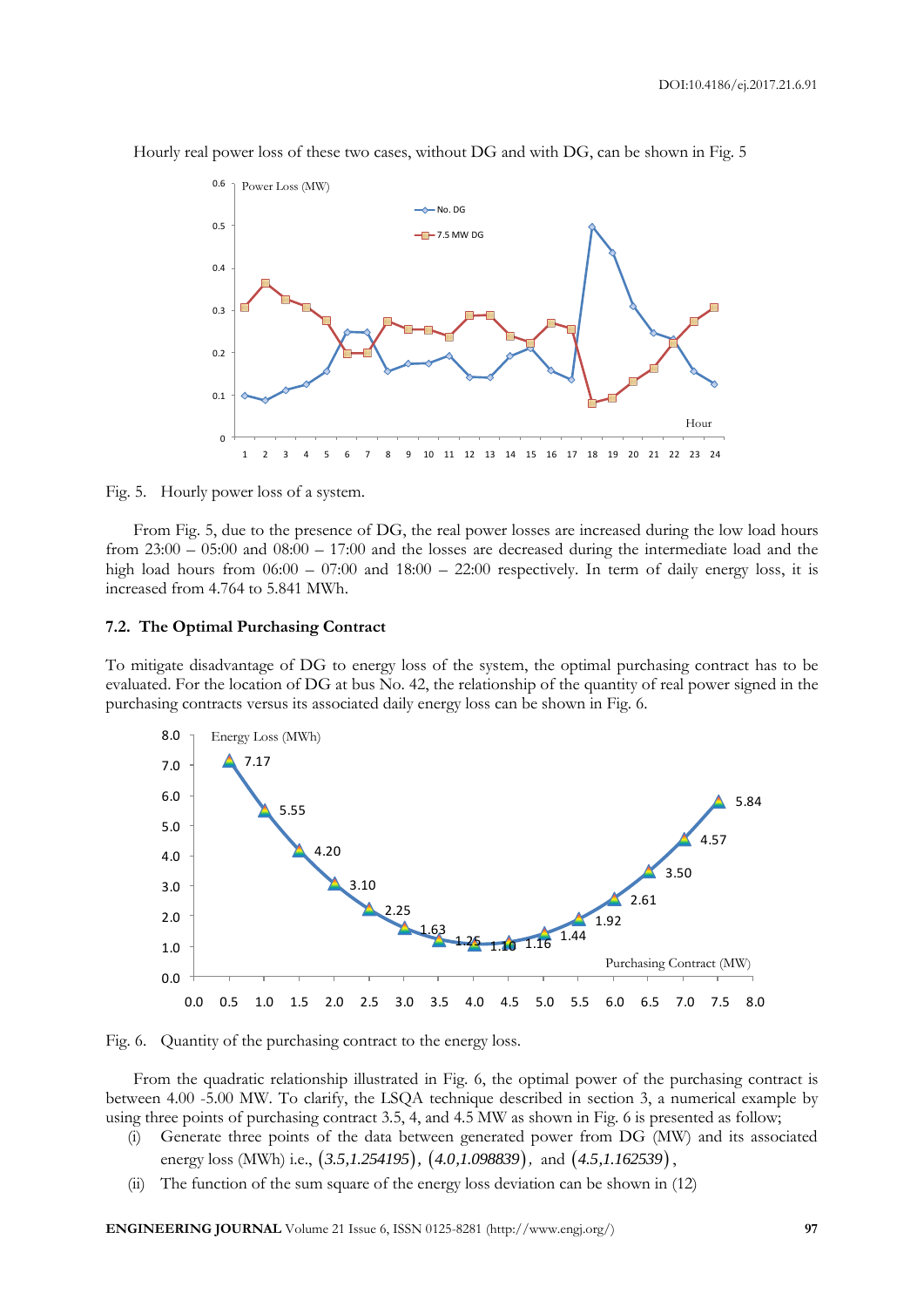DOI:10.4186/ej.2017.21.6.91



Hourly real power loss of these two cases, without DG and with DG, can be shown in Fig. 5

Fig. 5. Hourly power loss of a system.

From Fig. 5, due to the presence of DG, the real power losses are increased during the low load hours from 23:00 – 05:00 and 08:00 – 17:00 and the losses are decreased during the intermediate load and the high load hours from  $06:00 - 07:00$  and  $18:00 - 22:00$  respectively. In term of daily energy loss, it is increased from 4.764 to 5.841 MWh.

#### **7.2. The Optimal Purchasing Contract**

To mitigate disadvantage of DG to energy loss of the system, the optimal purchasing contract has to be evaluated. For the location of DG at bus No. 42, the relationship of the quantity of real power signed in the purchasing contracts versus its associated daily energy loss can be shown in Fig. 6.



Fig. 6. Quantity of the purchasing contract to the energy loss.

From the quadratic relationship illustrated in Fig. 6, the optimal power of the purchasing contract is between 4.00 -5.00 MW. To clarify, the LSQA technique described in section 3, a numerical example by using three points of purchasing contract 3.5, 4, and 4.5 MW as shown in Fig. 6 is presented as follow;

- (i) Generate three points of the data between generated power from DG (MW) and its associated energy loss (MWh) i.e., (3.5,1.254195), (4.0,1.098839), and (4.5,1.162539),
- (ii) The function of the sum square of the energy loss deviation can be shown in (12)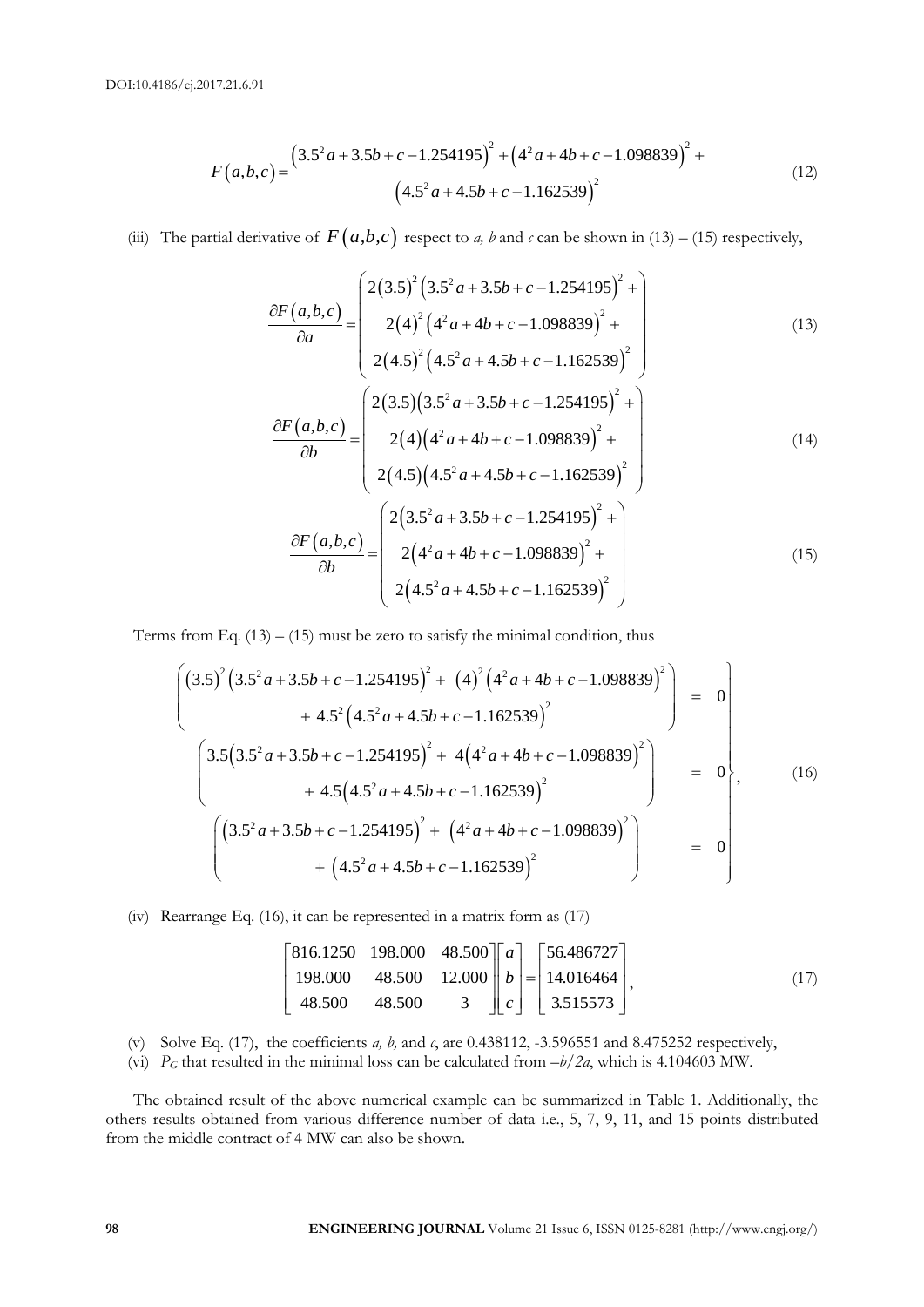$$
F(a,b,c) = \frac{(3.5^2a + 3.5b + c - 1.254195)^2 + (4^2a + 4b + c - 1.098839)^2 + (4.5^2a + 4.5b + c - 1.162539)^2}{(12)}
$$
\n(12)

(iii) The partial derivative of 
$$
F(a,b,c)
$$
 respect to a, b and c can be shown in (13) – (15) respectively,  
\n
$$
\frac{\partial F(a,b,c)}{\partial a} = \begin{pmatrix} 2(3.5)^2 (3.5^2 a + 3.5b + c - 1.254195)^2 + \\ 2(4)^2 (4^2 a + 4b + c - 1.098839)^2 + \\ 2(4.5)^2 (4.5^2 a + 4.5b + c - 1.162539)^2 \end{pmatrix}
$$
\n(13)  
\n
$$
\frac{\partial F(a,b,c)}{\partial b} = \begin{pmatrix} 2(3.5)(3.5^2 a + 3.5b + c - 1.254195)^2 + \\ 2(4)(4^2 a + 4b + c - 1.098839)^2 + \\ 2(4.5)(4.5^2 a + 4.5b + c - 1.162539)^2 \end{pmatrix}
$$
\n(14)  
\n
$$
\frac{\partial F(a,b,c)}{\partial b} = \begin{pmatrix} 2(3.5^2 a + 3.5b + c - 1.254195)^2 + \\ 2(4^2 a + 4b + c - 1.098839)^2 + \\ 2(4.5^2 a + 4.5b + c - 1.162539)^2 \end{pmatrix}
$$
\n(15)

Terms from Eq. (13) – (15) must be zero to satisfy the minimal condition, thus  
\n
$$
\begin{pmatrix}\n(3.5)^2 (3.5^2 a + 3.5b + c - 1.254195)^2 + (4)^2 (4^2 a + 4b + c - 1.098839)^2 \\
+ 4.5^2 (4.5^2 a + 4.5b + c - 1.162539)^2\n\end{pmatrix} = 0
$$
\n
$$
\begin{pmatrix}\n3.5 (3.5^2 a + 3.5b + c - 1.254195)^2 + 4(4^2 a + 4b + c - 1.098839)^2 \\
+ 4.5 (4.5^2 a + 4.5b + c - 1.162539)^2\n\end{pmatrix} = 0
$$
\n
$$
\begin{pmatrix}\n(3.5^2 a + 3.5b + c - 1.254195)^2 + (4^2 a + 4b + c - 1.098839)^2 \\
+ (4.5^2 a + 4.5b + c - 1.162539)^2\n\end{pmatrix} = 0
$$

(iv) Rearrange Eq. (16), it can be represented in a matrix form as (17)  
\n
$$
\begin{bmatrix}\n816.1250 & 198.000 & 48.500 \\
198.000 & 48.500 & 12.000 \\
48.500 & 48.500 & 3\n\end{bmatrix}\n\begin{bmatrix}\na \\
b \\
c\n\end{bmatrix} =\n\begin{bmatrix}\n56.486727 \\
14.016464 \\
3.515573\n\end{bmatrix},
$$
\n(17)

- (v) Solve Eq. (17), the coefficients *a, b,* and *c*, are 0.438112, -3.596551 and 8.475252 respectively,
- (vi)  $P_G$  that resulted in the minimal loss can be calculated from  $-b/2a$ , which is 4.104603 MW.

The obtained result of the above numerical example can be summarized in Table 1. Additionally, the others results obtained from various difference number of data i.e., 5, 7, 9, 11, and 15 points distributed from the middle contract of 4 MW can also be shown.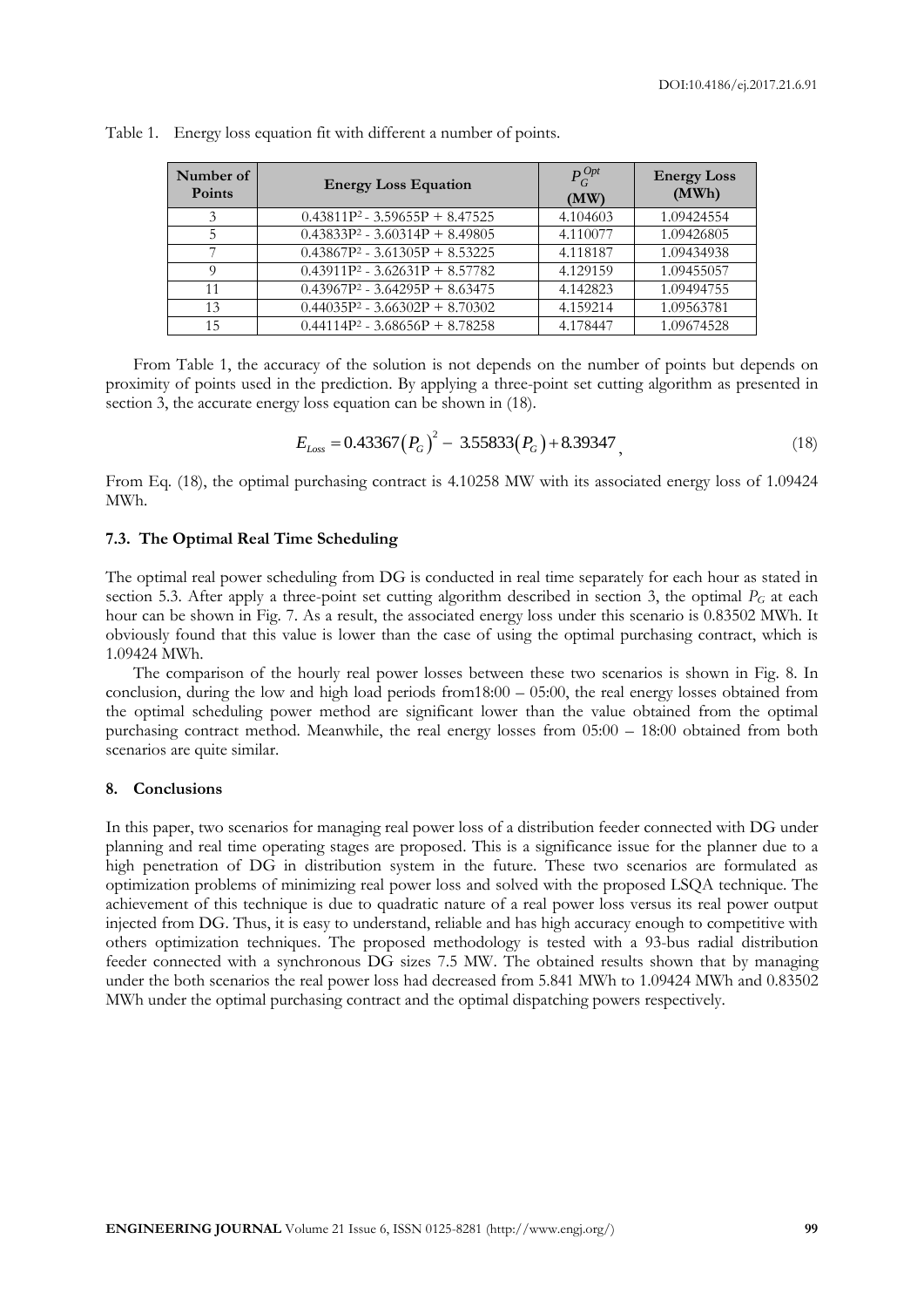| Number of<br><b>Points</b> | <b>Energy Loss Equation</b>       | $P_G^{Opt}$<br>(MW) | <b>Energy Loss</b><br>(MWh) |
|----------------------------|-----------------------------------|---------------------|-----------------------------|
| 3                          | $0.43811P^2 - 3.59655P + 8.47525$ | 4.104603            | 1.09424554                  |
| 5                          | $0.43833P^2 - 3.60314P + 8.49805$ | 4.110077            | 1.09426805                  |
|                            | $0.43867P^2 - 3.61305P + 8.53225$ | 4.118187            | 1.09434938                  |
|                            | $0.43911P^2 - 3.62631P + 8.57782$ | 4.129159            | 1.09455057                  |
| 11                         | $0.43967P^2 - 3.64295P + 8.63475$ | 4.142823            | 1.09494755                  |
| 13                         | $0.44035P^2 - 3.66302P + 8.70302$ | 4.159214            | 1.09563781                  |
| 15                         | $0.44114P^2 - 3.68656P + 8.78258$ | 4.178447            | 1.09674528                  |

|  |  |  | Table 1. Energy loss equation fit with different a number of points. |
|--|--|--|----------------------------------------------------------------------|
|  |  |  |                                                                      |

From Table 1, the accuracy of the solution is not depends on the number of points but depends on proximity of points used in the prediction. By applying a three-point set cutting algorithm as presented in section 3, the accurate energy loss equation can be shown in (18).

$$
E_{Loss} = 0.43367 (P_G)^2 - 3.55833 (P_G) + 8.39347,
$$
\n(18)

From Eq. (18), the optimal purchasing contract is 4.10258 MW with its associated energy loss of 1.09424 MWh.

#### **7.3. The Optimal Real Time Scheduling**

The optimal real power scheduling from DG is conducted in real time separately for each hour as stated in section 5.3. After apply a three-point set cutting algorithm described in section 3, the optimal  $P_G$  at each hour can be shown in Fig. 7. As a result, the associated energy loss under this scenario is 0.83502 MWh. It obviously found that this value is lower than the case of using the optimal purchasing contract, which is 1.09424 MWh.

The comparison of the hourly real power losses between these two scenarios is shown in Fig. 8. In conclusion, during the low and high load periods from18:00 – 05:00, the real energy losses obtained from the optimal scheduling power method are significant lower than the value obtained from the optimal purchasing contract method. Meanwhile, the real energy losses from 05:00 – 18:00 obtained from both scenarios are quite similar.

#### **8. Conclusions**

In this paper, two scenarios for managing real power loss of a distribution feeder connected with DG under planning and real time operating stages are proposed. This is a significance issue for the planner due to a high penetration of DG in distribution system in the future. These two scenarios are formulated as optimization problems of minimizing real power loss and solved with the proposed LSQA technique. The achievement of this technique is due to quadratic nature of a real power loss versus its real power output injected from DG. Thus, it is easy to understand, reliable and has high accuracy enough to competitive with others optimization techniques. The proposed methodology is tested with a 93-bus radial distribution feeder connected with a synchronous DG sizes 7.5 MW. The obtained results shown that by managing under the both scenarios the real power loss had decreased from 5.841 MWh to 1.09424 MWh and 0.83502 MWh under the optimal purchasing contract and the optimal dispatching powers respectively.